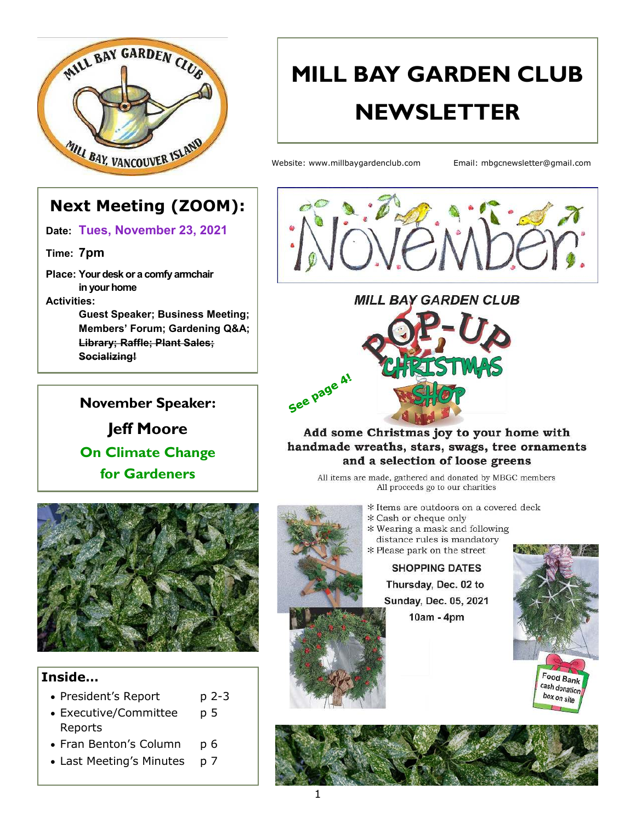

# **MILL BAY GARDEN CLUB NEWSLETTER**

Website: www.millbaygardenclub.com Email: mbgcnewsletter@gmail.com

### **Next Meeting (ZOOM):**

**Date: Tues, November 23, 2021**

**Time: 7pm**

**Place: Your desk or a comfy armchair in your home Activities:**

**Guest Speaker; Business Meeting; Members' Forum; Gardening Q&A; Library; Raffle; Plant Sales; Socializing!**

# **November Speaker: Jeff Moore On Climate Change for Gardeners**





Add some Christmas joy to your home with handmade wreaths, stars, swags, tree ornaments and a selection of loose greens

All items are made, gathered and donated by MBGC members All proceeds go to our charities

- \* Items are outdoors on a covered deck
- \* Cash or cheque only
- \* Wearing a mask and following distance rules is mandatory
- \* Please park on the street

**SHOPPING DATES** Thursday, Dec. 02 to Sunday, Dec. 05, 2021









#### **Inside…**

- President's Report p 2-3
- Executive/Committee p 5 Reports
- Fran Benton's Column p 6
- Last Meeting's Minutes p 7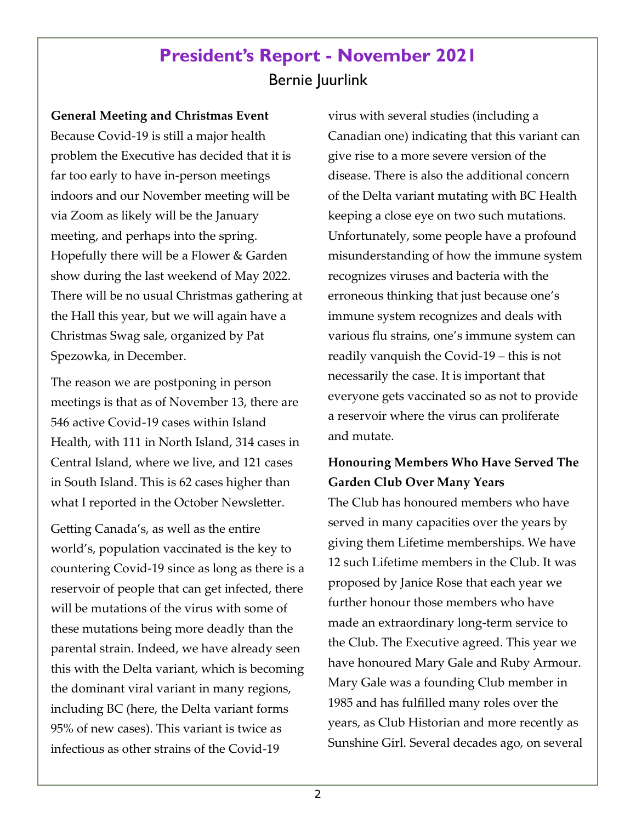# **President's Report - November 2021**  Bernie Juurlink

**General Meeting and Christmas Event** Because Covid-19 is still a major health problem the Executive has decided that it is far too early to have in-person meetings indoors and our November meeting will be via Zoom as likely will be the January meeting, and perhaps into the spring. Hopefully there will be a Flower & Garden show during the last weekend of May 2022. There will be no usual Christmas gathering at the Hall this year, but we will again have a Christmas Swag sale, organized by Pat Spezowka, in December.

The reason we are postponing in person meetings is that as of November 13, there are 546 active Covid-19 cases within Island Health, with 111 in North Island, 314 cases in Central Island, where we live, and 121 cases in South Island. This is 62 cases higher than what I reported in the October Newsletter.

Getting Canada's, as well as the entire world's, population vaccinated is the key to countering Covid-19 since as long as there is a reservoir of people that can get infected, there will be mutations of the virus with some of these mutations being more deadly than the parental strain. Indeed, we have already seen this with the Delta variant, which is becoming the dominant viral variant in many regions, including BC (here, the Delta variant forms 95% of new cases). This variant is twice as infectious as other strains of the Covid-19

virus with several studies (including a Canadian one) indicating that this variant can give rise to a more severe version of the disease. There is also the additional concern of the Delta variant mutating with BC Health keeping a close eye on two such mutations. Unfortunately, some people have a profound misunderstanding of how the immune system recognizes viruses and bacteria with the erroneous thinking that just because one's immune system recognizes and deals with various flu strains, one's immune system can readily vanquish the Covid-19 – this is not necessarily the case. It is important that everyone gets vaccinated so as not to provide a reservoir where the virus can proliferate and mutate.

### **Honouring Members Who Have Served The Garden Club Over Many Years**

The Club has honoured members who have served in many capacities over the years by giving them Lifetime memberships. We have 12 such Lifetime members in the Club. It was proposed by Janice Rose that each year we further honour those members who have made an extraordinary long-term service to the Club. The Executive agreed. This year we have honoured Mary Gale and Ruby Armour. Mary Gale was a founding Club member in 1985 and has fulfilled many roles over the years, as Club Historian and more recently as Sunshine Girl. Several decades ago, on several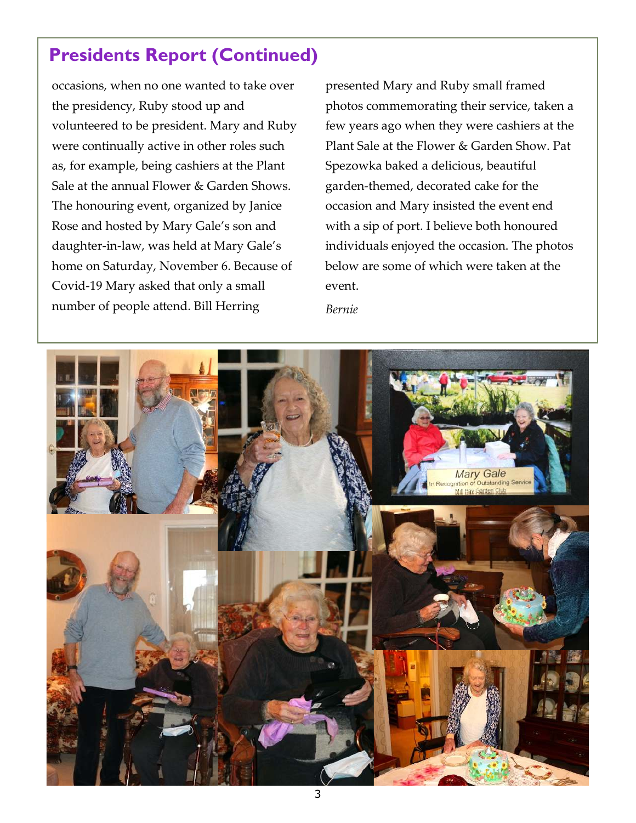# **Presidents Report (Continued)**

occasions, when no one wanted to take over the presidency, Ruby stood up and volunteered to be president. Mary and Ruby were continually active in other roles such as, for example, being cashiers at the Plant Sale at the annual Flower & Garden Shows. The honouring event, organized by Janice Rose and hosted by Mary Gale's son and daughter-in-law, was held at Mary Gale's home on Saturday, November 6. Because of Covid-19 Mary asked that only a small number of people attend. Bill Herring

presented Mary and Ruby small framed photos commemorating their service, taken a few years ago when they were cashiers at the Plant Sale at the Flower & Garden Show. Pat Spezowka baked a delicious, beautiful garden-themed, decorated cake for the occasion and Mary insisted the event end with a sip of port. I believe both honoured individuals enjoyed the occasion. The photos below are some of which were taken at the event.

*Bernie*

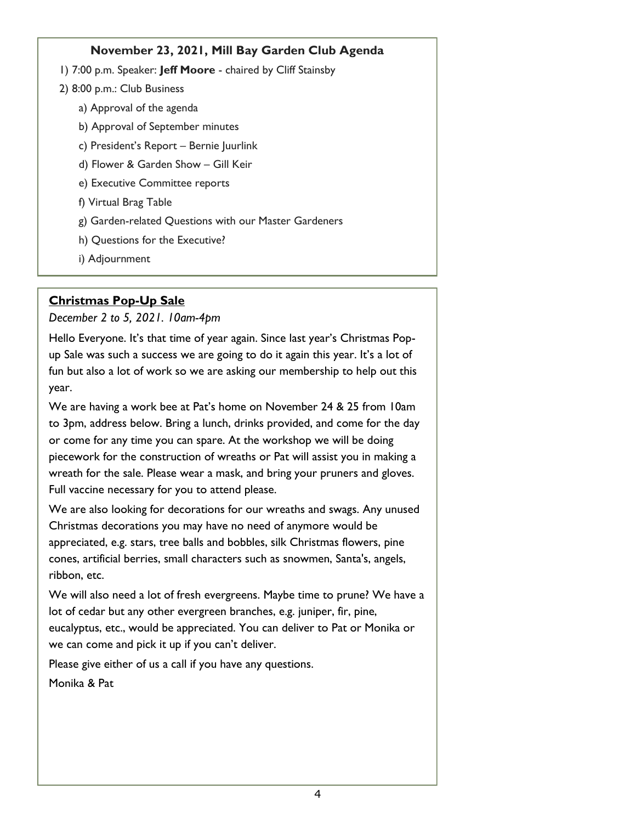#### **November 23, 2021, Mill Bay Garden Club Agenda**

- 1) 7:00 p.m. Speaker: **Jeff Moore**  chaired by Cliff Stainsby
- 2) 8:00 p.m.: Club Business
	- a) Approval of the agenda
	- b) Approval of September minutes
	- c) President's Report Bernie Juurlink
	- d) Flower & Garden Show Gill Keir
	- e) Executive Committee reports
	- f) Virtual Brag Table
	- g) Garden-related Questions with our Master Gardeners
	- h) Questions for the Executive?
	- i) Adjournment

#### **Christmas Pop-Up Sale**

*December 2 to 5, 2021. 10am-4pm* 

Hello Everyone. It's that time of year again. Since last year's Christmas Popup Sale was such a success we are going to do it again this year. It's a lot of fun but also a lot of work so we are asking our membership to help out this year.

We are having a work bee at Pat's home on November 24 & 25 from 10am to 3pm, address below. Bring a lunch, drinks provided, and come for the day or come for any time you can spare. At the workshop we will be doing piecework for the construction of wreaths or Pat will assist you in making a wreath for the sale. Please wear a mask, and bring your pruners and gloves. Full vaccine necessary for you to attend please.

We are also looking for decorations for our wreaths and swags. Any unused Christmas decorations you may have no need of anymore would be appreciated, e.g. stars, tree balls and bobbles, silk Christmas flowers, pine cones, artificial berries, small characters such as snowmen, Santa's, angels, ribbon, etc.

We will also need a lot of fresh evergreens. Maybe time to prune? We have a lot of cedar but any other evergreen branches, e.g. juniper, fir, pine, eucalyptus, etc., would be appreciated. You can deliver to Pat or Monika or we can come and pick it up if you can't deliver.

Please give either of us a call if you have any questions.

Monika & Pat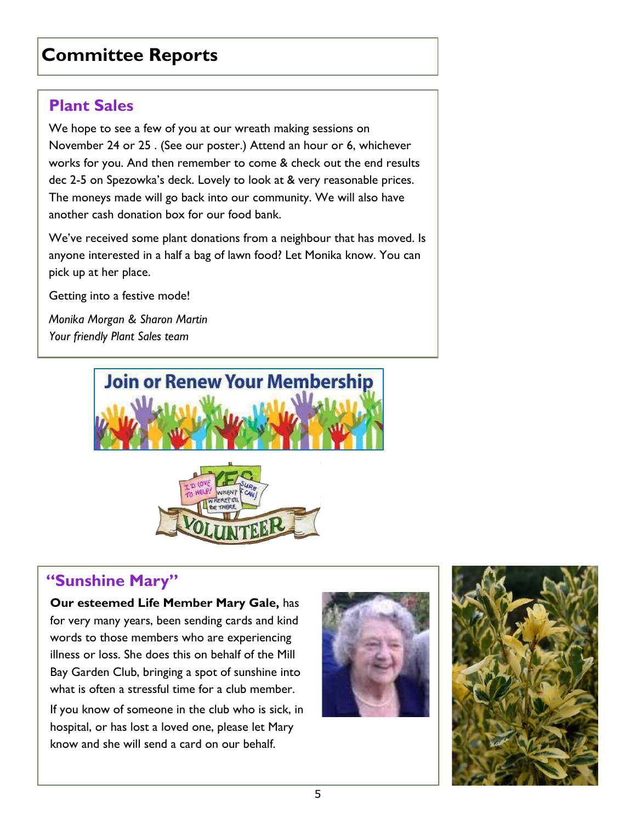# **Committee Reports**

### **Plant Sales**

We hope to see a few of you at our wreath making sessions on November 24 or 25 . (See our poster.) Attend an hour or 6, whichever works for you. And then remember to come & check out the end results dec 2-5 on Spezowka's deck. Lovely to look at & very reasonable prices. The moneys made will go back into our community. We will also have another cash donation box for our food bank.

We've received some plant donations from a neighbour that has moved. Is anyone interested in a half a bag of lawn food? Let Monika know. You can pick up at her place.

Getting into a festive mode!

*Monika Morgan & Sharon Martin Your friendly Plant Sales team* 





### **"Sunshine Mary"**

**Our esteemed Life Member Mary Gale,** has for very many years, been sending cards and kind words to those members who are experiencing illness or loss. She does this on behalf of the Mill Bay Garden Club, bringing a spot of sunshine into what is often a stressful time for a club member.

If you know of someone in the club who is sick, in hospital, or has lost a loved one, please let Mary know and she will send a card on our behalf.



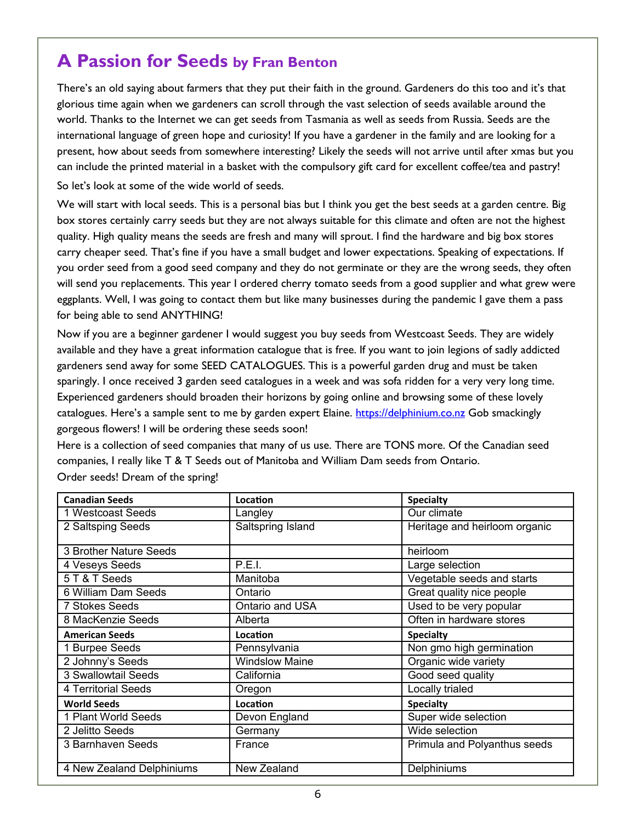### **A Passion for Seeds by Fran Benton**

There's an old saying about farmers that they put their faith in the ground. Gardeners do this too and it's that glorious time again when we gardeners can scroll through the vast selection of seeds available around the world. Thanks to the Internet we can get seeds from Tasmania as well as seeds from Russia. Seeds are the international language of green hope and curiosity! If you have a gardener in the family and are looking for a present, how about seeds from somewhere interesting? Likely the seeds will not arrive until after xmas but you can include the printed material in a basket with the compulsory gift card for excellent coffee/tea and pastry!

So let's look at some of the wide world of seeds.

We will start with local seeds. This is a personal bias but I think you get the best seeds at a garden centre. Big box stores certainly carry seeds but they are not always suitable for this climate and often are not the highest quality. High quality means the seeds are fresh and many will sprout. I find the hardware and big box stores carry cheaper seed. That's fine if you have a small budget and lower expectations. Speaking of expectations. If you order seed from a good seed company and they do not germinate or they are the wrong seeds, they often will send you replacements. This year I ordered cherry tomato seeds from a good supplier and what grew were eggplants. Well, I was going to contact them but like many businesses during the pandemic I gave them a pass for being able to send ANYTHING!

Now if you are a beginner gardener I would suggest you buy seeds from Westcoast Seeds. They are widely available and they have a great information catalogue that is free. If you want to join legions of sadly addicted gardeners send away for some SEED CATALOGUES. This is a powerful garden drug and must be taken sparingly. I once received 3 garden seed catalogues in a week and was sofa ridden for a very very long time. Experienced gardeners should broaden their horizons by going online and browsing some of these lovely catalogues. Here's a sample sent to me by garden expert Elaine. [https://delphinium.co.nz](https://linkprotect.cudasvc.com/url?a=https%3a%2f%2fdelphinium.co.nz&c=E,1,XKRs_wBSuZj1t_NHmsqOZhTNWgCBM6fklB0r-JAu3j4qg-dj0AhgrbY6cjPJENB2mymyleO8zLG9bmFkwXQKzTjwolsdvRQiwTDm3puOZYE,&typo=1&ancr_add=1) Gob smackingly gorgeous flowers! I will be ordering these seeds soon!

Here is a collection of seed companies that many of us use. There are TONS more. Of the Canadian seed companies, I really like T & T Seeds out of Manitoba and William Dam seeds from Ontario. Order seeds! Dream of the spring!

| <b>Canadian Seeds</b>     | Location              | <b>Specialty</b>              |
|---------------------------|-----------------------|-------------------------------|
| 1 Westcoast Seeds         | Langley               | Our climate                   |
| 2 Saltsping Seeds         | Saltspring Island     | Heritage and heirloom organic |
| 3 Brother Nature Seeds    |                       | heirloom                      |
| 4 Veseys Seeds            | P.E.I.                | Large selection               |
| 5 T & T Seeds             | Manitoba              | Vegetable seeds and starts    |
| 6 William Dam Seeds       | Ontario               | Great quality nice people     |
| <b>7 Stokes Seeds</b>     | Ontario and USA       | Used to be very popular       |
| 8 MacKenzie Seeds         | Alberta               | Often in hardware stores      |
| <b>American Seeds</b>     | Location              | <b>Specialty</b>              |
| 1 Burpee Seeds            | Pennsylvania          | Non gmo high germination      |
| 2 Johnny's Seeds          | <b>Windslow Maine</b> | Organic wide variety          |
| 3 Swallowtail Seeds       | California            | Good seed quality             |
| 4 Territorial Seeds       | Oregon                | Locally trialed               |
| <b>World Seeds</b>        | Location              | <b>Specialty</b>              |
| 1 Plant World Seeds       | Devon England         | Super wide selection          |
| 2 Jelitto Seeds           | Germany               | Wide selection                |
| 3 Barnhaven Seeds         | France                | Primula and Polyanthus seeds  |
| 4 New Zealand Delphiniums | New Zealand           | Delphiniums                   |